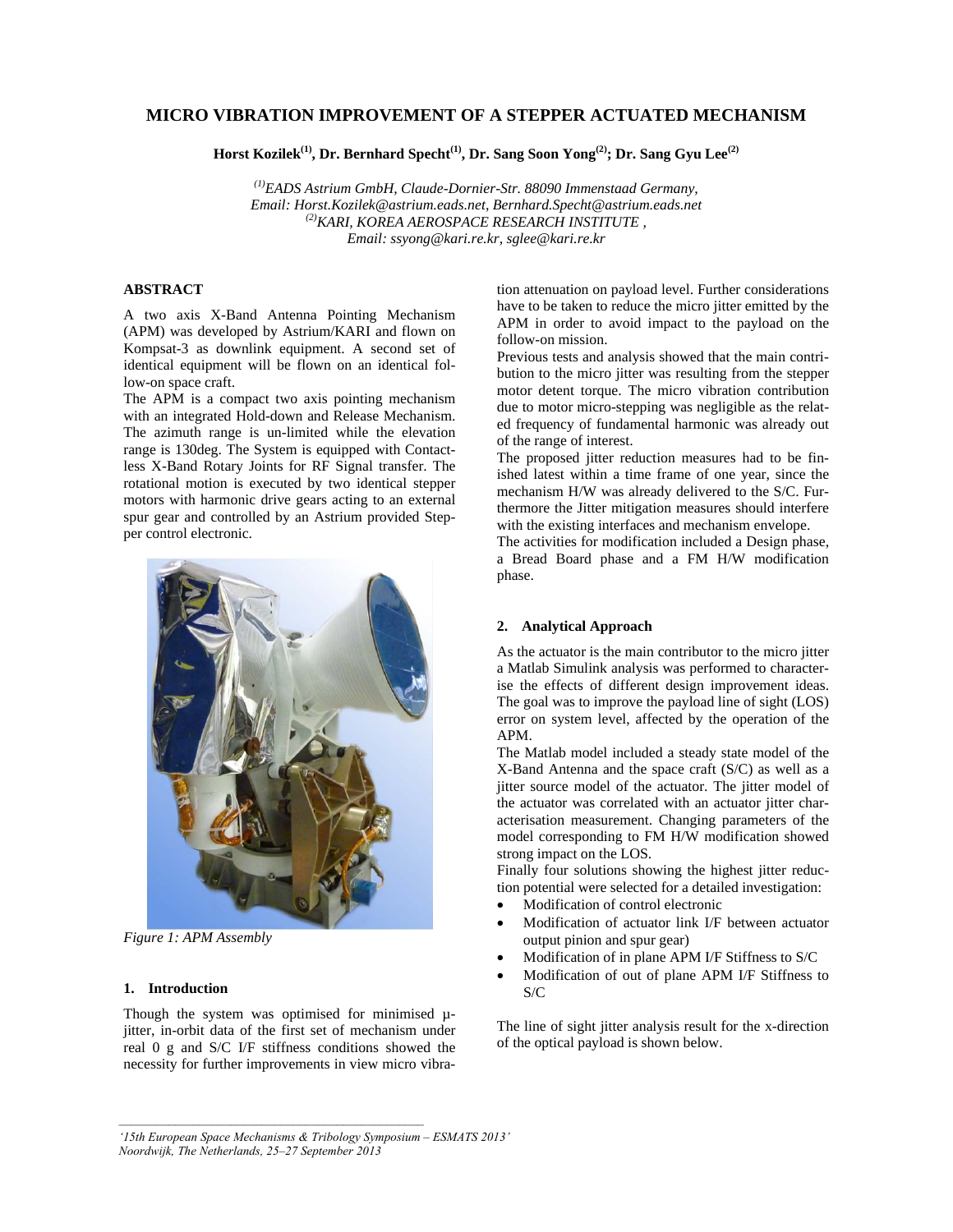# **MICRO VIBRATION IMPROVEMENT OF A STEPPER ACTUATED MECHANISM**

Horst Kozilek<sup>(1)</sup>, Dr. Bernhard Specht<sup>(1)</sup>, Dr. Sang Soon Yong<sup>(2)</sup>; Dr. Sang Gyu Lee<sup>(2)</sup>

*(1)EADS Astrium GmbH, Claude-Dornier-Str. 88090 Immenstaad Germany, Email: Horst.Kozilek@astrium.eads.net, Bernhard.Specht@astrium.eads.net (2)KARI, KOREA AEROSPACE RESEARCH INSTITUTE , Email: ssyong@kari.re.kr, sglee@kari.re.kr* 

#### **ABSTRACT**

A two axis X-Band Antenna Pointing Mechanism (APM) was developed by Astrium/KARI and flown on Kompsat-3 as downlink equipment. A second set of identical equipment will be flown on an identical follow-on space craft.

The APM is a compact two axis pointing mechanism with an integrated Hold-down and Release Mechanism. The azimuth range is un-limited while the elevation range is 130deg. The System is equipped with Contactless X-Band Rotary Joints for RF Signal transfer. The rotational motion is executed by two identical stepper motors with harmonic drive gears acting to an external spur gear and controlled by an Astrium provided Stepper control electronic.



*Figure 1: APM Assembly* 

# **1. Introduction**

Though the system was optimised for minimised  $\mu$ jitter, in-orbit data of the first set of mechanism under real 0 g and S/C I/F stiffness conditions showed the necessity for further improvements in view micro vibration attenuation on payload level. Further considerations have to be taken to reduce the micro jitter emitted by the APM in order to avoid impact to the payload on the follow-on mission.

Previous tests and analysis showed that the main contribution to the micro jitter was resulting from the stepper motor detent torque. The micro vibration contribution due to motor micro-stepping was negligible as the related frequency of fundamental harmonic was already out of the range of interest.

The proposed jitter reduction measures had to be finished latest within a time frame of one year, since the mechanism H/W was already delivered to the S/C. Furthermore the Jitter mitigation measures should interfere with the existing interfaces and mechanism envelope.

The activities for modification included a Design phase, a Bread Board phase and a FM H/W modification phase.

## **2. Analytical Approach**

As the actuator is the main contributor to the micro jitter a Matlab Simulink analysis was performed to characterise the effects of different design improvement ideas. The goal was to improve the payload line of sight (LOS) error on system level, affected by the operation of the APM.

The Matlab model included a steady state model of the X-Band Antenna and the space craft (S/C) as well as a jitter source model of the actuator. The jitter model of the actuator was correlated with an actuator jitter characterisation measurement. Changing parameters of the model corresponding to FM H/W modification showed strong impact on the LOS.

Finally four solutions showing the highest jitter reduction potential were selected for a detailed investigation:

- Modification of control electronic
- Modification of actuator link I/F between actuator output pinion and spur gear)
- Modification of in plane APM I/F Stiffness to S/C
- Modification of out of plane APM I/F Stiffness to S/C

The line of sight jitter analysis result for the x-direction of the optical payload is shown below.

*'15th European Space Mechanisms & Tribology Symposium – ESMATS 2013' Noordwijk, The Netherlands, 25–27 September 2013*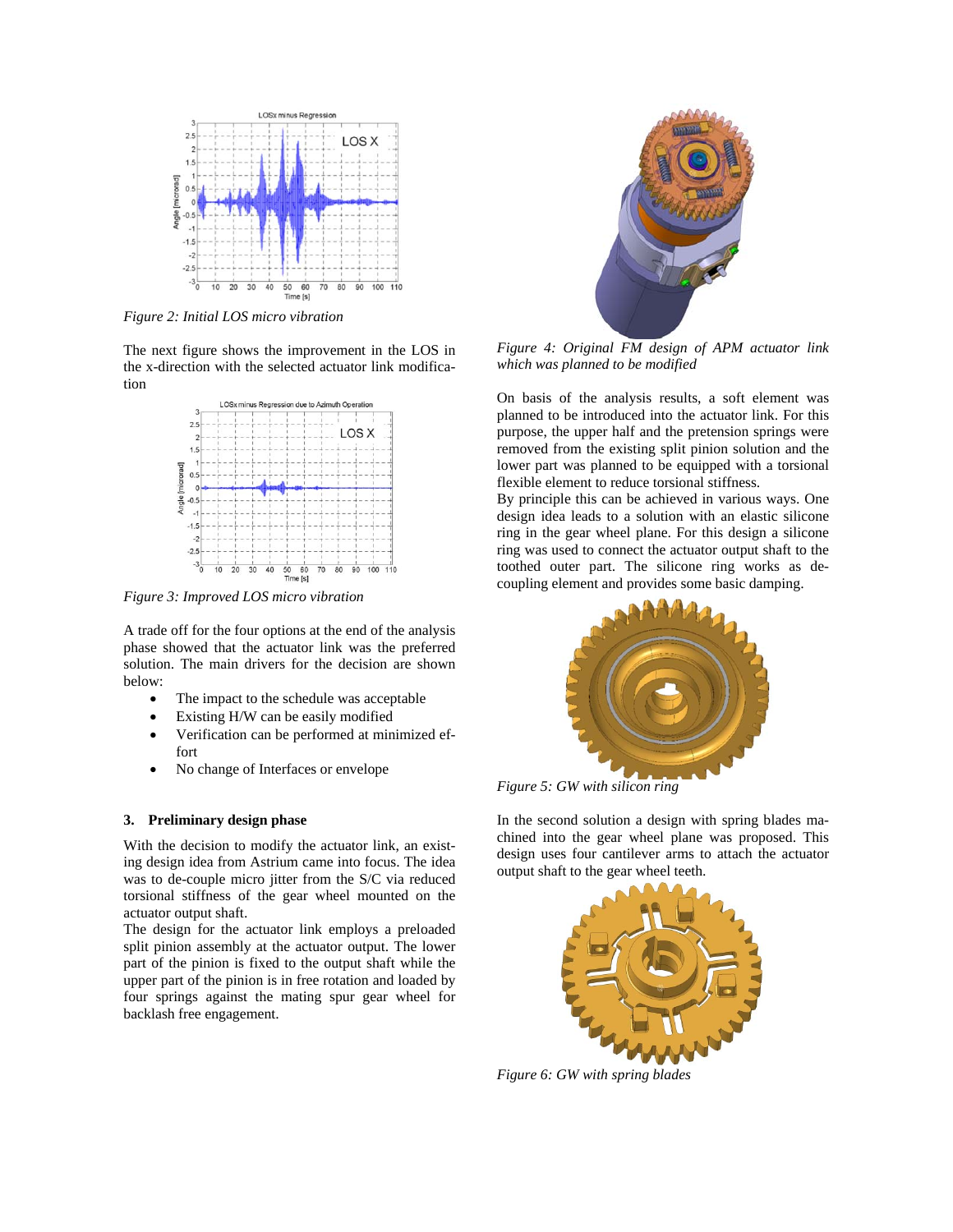

*Figure 2: Initial LOS micro vibration* 

The next figure shows the improvement in the LOS in the x-direction with the selected actuator link modification



*Figure 3: Improved LOS micro vibration* 

A trade off for the four options at the end of the analysis phase showed that the actuator link was the preferred solution. The main drivers for the decision are shown below:

- The impact to the schedule was acceptable
- Existing H/W can be easily modified
- Verification can be performed at minimized effort
- No change of Interfaces or envelope

#### **3. Preliminary design phase**

With the decision to modify the actuator link, an existing design idea from Astrium came into focus. The idea was to de-couple micro jitter from the S/C via reduced torsional stiffness of the gear wheel mounted on the actuator output shaft.

The design for the actuator link employs a preloaded split pinion assembly at the actuator output. The lower part of the pinion is fixed to the output shaft while the upper part of the pinion is in free rotation and loaded by four springs against the mating spur gear wheel for backlash free engagement.



*Figure 4: Original FM design of APM actuator link which was planned to be modified* 

On basis of the analysis results, a soft element was planned to be introduced into the actuator link. For this purpose, the upper half and the pretension springs were removed from the existing split pinion solution and the lower part was planned to be equipped with a torsional flexible element to reduce torsional stiffness.

By principle this can be achieved in various ways. One design idea leads to a solution with an elastic silicone ring in the gear wheel plane. For this design a silicone ring was used to connect the actuator output shaft to the toothed outer part. The silicone ring works as decoupling element and provides some basic damping.



*Figure 5: GW with silicon ring* 

In the second solution a design with spring blades machined into the gear wheel plane was proposed. This design uses four cantilever arms to attach the actuator output shaft to the gear wheel teeth.



*Figure 6: GW with spring blades*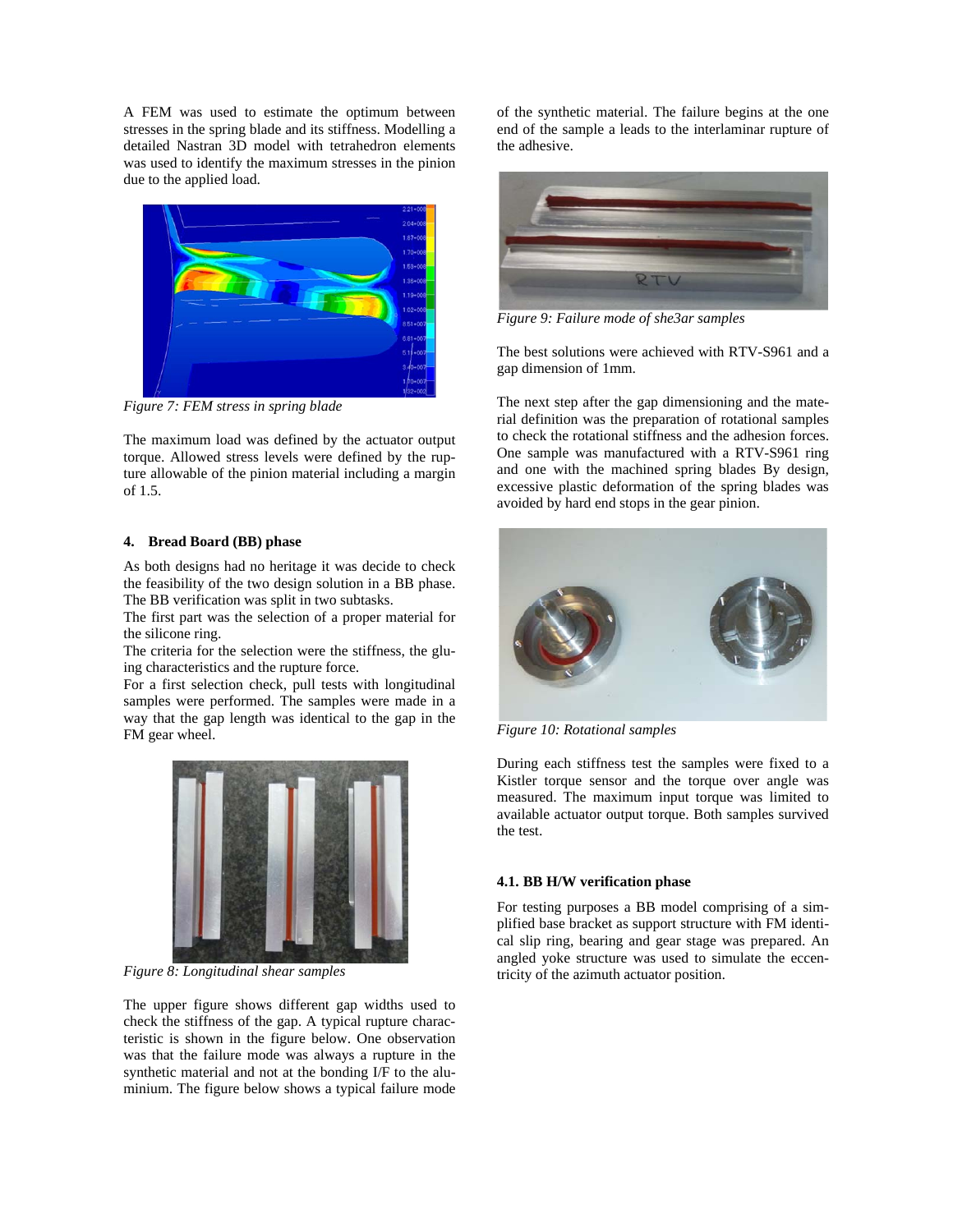A FEM was used to estimate the optimum between stresses in the spring blade and its stiffness. Modelling a detailed Nastran 3D model with tetrahedron elements was used to identify the maximum stresses in the pinion due to the applied load.



*Figure 7: FEM stress in spring blade* 

The maximum load was defined by the actuator output torque. Allowed stress levels were defined by the rupture allowable of the pinion material including a margin of 1.5.

### **4. Bread Board (BB) phase**

As both designs had no heritage it was decide to check the feasibility of the two design solution in a BB phase. The BB verification was split in two subtasks.

The first part was the selection of a proper material for the silicone ring.

The criteria for the selection were the stiffness, the gluing characteristics and the rupture force.

For a first selection check, pull tests with longitudinal samples were performed. The samples were made in a way that the gap length was identical to the gap in the FM gear wheel.



*Figure 8: Longitudinal shear samples* 

The upper figure shows different gap widths used to check the stiffness of the gap. A typical rupture characteristic is shown in the figure below. One observation was that the failure mode was always a rupture in the synthetic material and not at the bonding I/F to the aluminium. The figure below shows a typical failure mode of the synthetic material. The failure begins at the one end of the sample a leads to the interlaminar rupture of the adhesive.



*Figure 9: Failure mode of she3ar samples* 

The best solutions were achieved with RTV-S961 and a gap dimension of 1mm.

The next step after the gap dimensioning and the material definition was the preparation of rotational samples to check the rotational stiffness and the adhesion forces. One sample was manufactured with a RTV-S961 ring and one with the machined spring blades By design, excessive plastic deformation of the spring blades was avoided by hard end stops in the gear pinion.



*Figure 10: Rotational samples* 

During each stiffness test the samples were fixed to a Kistler torque sensor and the torque over angle was measured. The maximum input torque was limited to available actuator output torque. Both samples survived the test.

## **4.1. BB H/W verification phase**

For testing purposes a BB model comprising of a simplified base bracket as support structure with FM identical slip ring, bearing and gear stage was prepared. An angled yoke structure was used to simulate the eccentricity of the azimuth actuator position.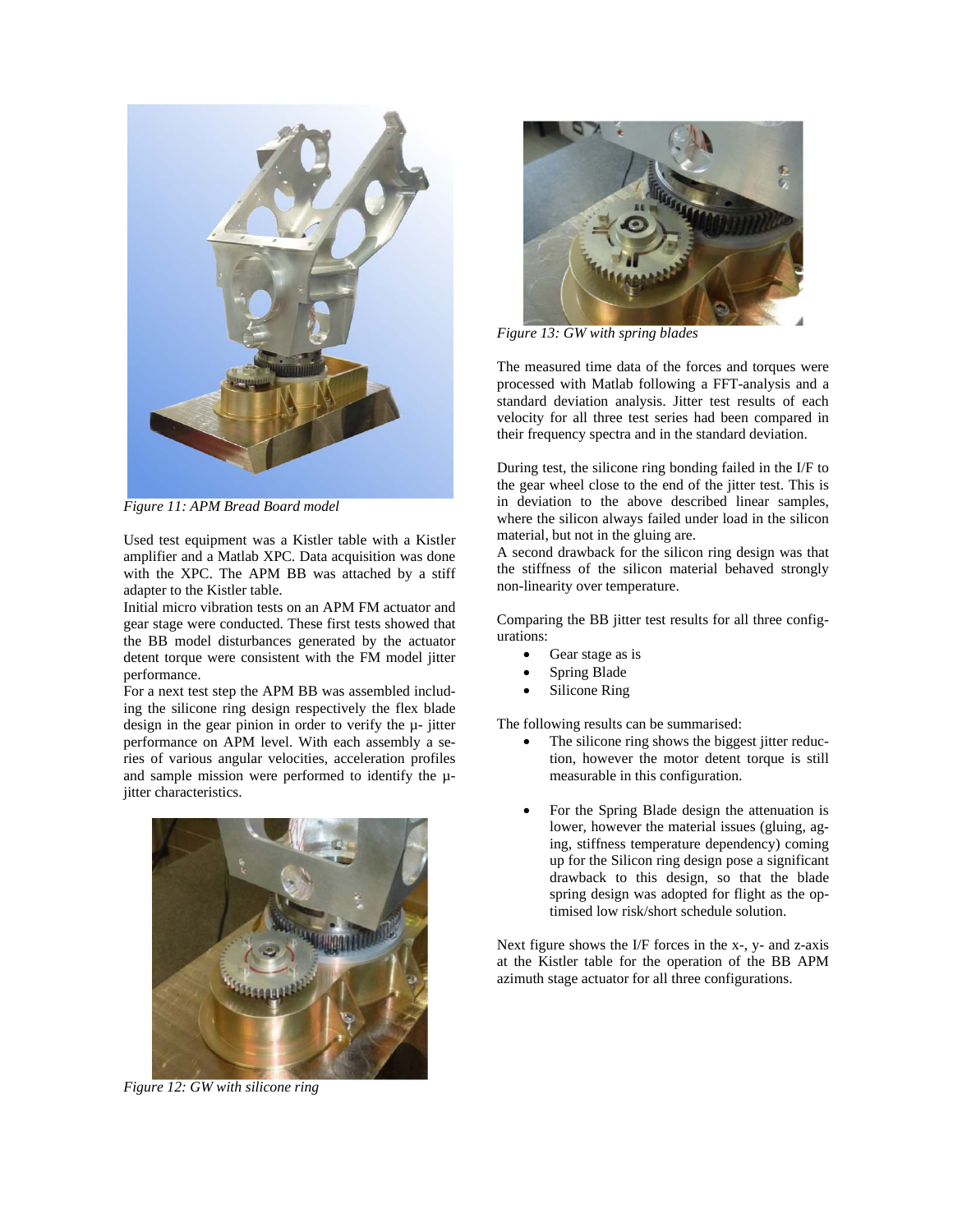

*Figure 11: APM Bread Board model* 

Used test equipment was a Kistler table with a Kistler amplifier and a Matlab XPC. Data acquisition was done with the XPC. The APM BB was attached by a stiff adapter to the Kistler table.

Initial micro vibration tests on an APM FM actuator and gear stage were conducted. These first tests showed that the BB model disturbances generated by the actuator detent torque were consistent with the FM model jitter performance.

For a next test step the APM BB was assembled including the silicone ring design respectively the flex blade design in the gear pinion in order to verify the µ- jitter performance on APM level. With each assembly a series of various angular velocities, acceleration profiles and sample mission were performed to identify the µjitter characteristics.



*Figure 12: GW with silicone ring* 



*Figure 13: GW with spring blades* 

The measured time data of the forces and torques were processed with Matlab following a FFT-analysis and a standard deviation analysis. Jitter test results of each velocity for all three test series had been compared in their frequency spectra and in the standard deviation.

During test, the silicone ring bonding failed in the I/F to the gear wheel close to the end of the jitter test. This is in deviation to the above described linear samples, where the silicon always failed under load in the silicon material, but not in the gluing are.

A second drawback for the silicon ring design was that the stiffness of the silicon material behaved strongly non-linearity over temperature.

Comparing the BB jitter test results for all three configurations:

- Gear stage as is
- Spring Blade
- Silicone Ring

The following results can be summarised:

- The silicone ring shows the biggest jitter reduction, however the motor detent torque is still measurable in this configuration.
- For the Spring Blade design the attenuation is lower, however the material issues (gluing, aging, stiffness temperature dependency) coming up for the Silicon ring design pose a significant drawback to this design, so that the blade spring design was adopted for flight as the optimised low risk/short schedule solution.

Next figure shows the I/F forces in the x-, y- and z-axis at the Kistler table for the operation of the BB APM azimuth stage actuator for all three configurations.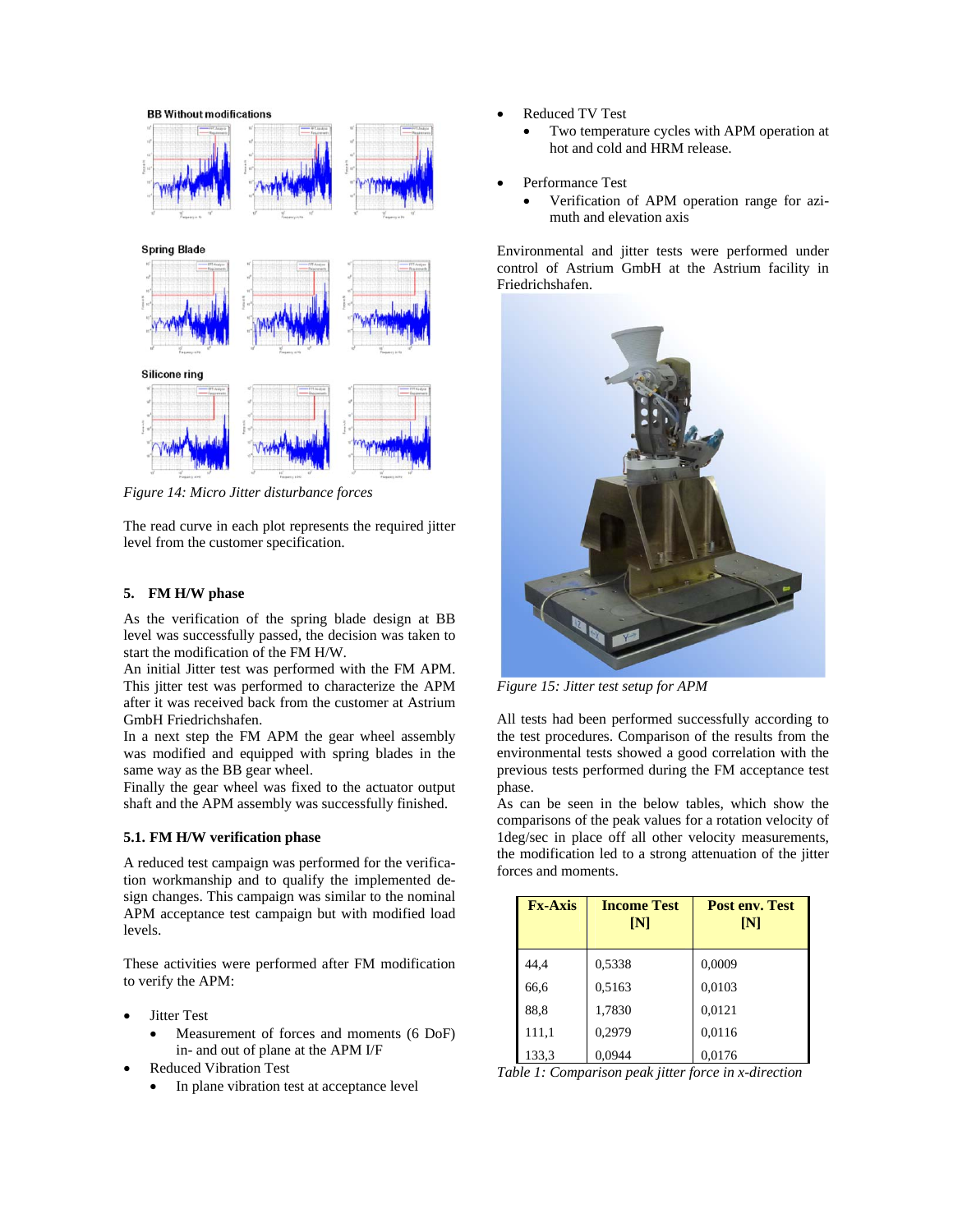

*Figure 14: Micro Jitter disturbance forces* 

The read curve in each plot represents the required jitter level from the customer specification.

### **5. FM H/W phase**

As the verification of the spring blade design at BB level was successfully passed, the decision was taken to start the modification of the FM H/W.

An initial Jitter test was performed with the FM APM. This jitter test was performed to characterize the APM after it was received back from the customer at Astrium GmbH Friedrichshafen.

In a next step the FM APM the gear wheel assembly was modified and equipped with spring blades in the same way as the BB gear wheel.

Finally the gear wheel was fixed to the actuator output shaft and the APM assembly was successfully finished.

#### **5.1. FM H/W verification phase**

A reduced test campaign was performed for the verification workmanship and to qualify the implemented design changes. This campaign was similar to the nominal APM acceptance test campaign but with modified load levels.

These activities were performed after FM modification to verify the APM:

- Jitter Test
	- Measurement of forces and moments (6 DoF) in- and out of plane at the APM I/F
- Reduced Vibration Test
	- In plane vibration test at acceptance level
- Reduced TV Test
	- Two temperature cycles with APM operation at hot and cold and HRM release.
- Performance Test
	- Verification of APM operation range for azimuth and elevation axis

Environmental and jitter tests were performed under control of Astrium GmbH at the Astrium facility in Friedrichshafen.



*Figure 15: Jitter test setup for APM* 

All tests had been performed successfully according to the test procedures. Comparison of the results from the environmental tests showed a good correlation with the previous tests performed during the FM acceptance test phase.

As can be seen in the below tables, which show the comparisons of the peak values for a rotation velocity of 1deg/sec in place off all other velocity measurements, the modification led to a strong attenuation of the jitter forces and moments.

| <b>Fx-Axis</b> | <b>Income Test</b><br>$\mathbf{N}$ | Post env. Test<br>$\mathbf{N}$ |
|----------------|------------------------------------|--------------------------------|
| 44,4           | 0,5338                             | 0,0009                         |
| 66,6           | 0,5163                             | 0,0103                         |
| 88.8           | 1,7830                             | 0,0121                         |
| 111,1          | 0,2979                             | 0,0116                         |
| 133,3          | 0,0944                             | 0,0176                         |

*Table 1: Comparison peak jitter force in x-direction*